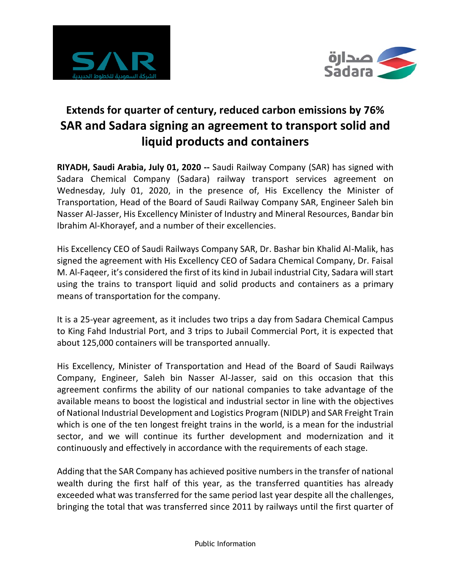



# **Extends for quarter of century, reduced carbon emissions by 76% SAR and Sadara signing an agreement to transport solid and liquid products and containers**

**RIYADH, Saudi Arabia, July 01, 2020 --** Saudi Railway Company (SAR) has signed with Sadara Chemical Company (Sadara) railway transport services agreement on Wednesday, July 01, 2020, in the presence of, His Excellency the Minister of Transportation, Head of the Board of Saudi Railway Company SAR, Engineer Saleh bin Nasser Al-Jasser, His Excellency Minister of Industry and Mineral Resources, Bandar bin Ibrahim Al-Khorayef, and a number of their excellencies.

His Excellency CEO of Saudi Railways Company SAR, Dr. Bashar bin Khalid Al-Malik, has signed the agreement with His Excellency CEO of Sadara Chemical Company, Dr. Faisal M. Al-Faqeer, it's considered the first of its kind in Jubail industrial City, Sadara will start using the trains to transport liquid and solid products and containers as a primary means of transportation for the company.

It is a 25-year agreement, as it includes two trips a day from Sadara Chemical Campus to King Fahd Industrial Port, and 3 trips to Jubail Commercial Port, it is expected that about 125,000 containers will be transported annually.

His Excellency, Minister of Transportation and Head of the Board of Saudi Railways Company, Engineer, Saleh bin Nasser Al-Jasser, said on this occasion that this agreement confirms the ability of our national companies to take advantage of the available means to boost the logistical and industrial sector in line with the objectives of National Industrial Development and Logistics Program (NIDLP) and SAR Freight Train which is one of the ten longest freight trains in the world, is a mean for the industrial sector, and we will continue its further development and modernization and it continuously and effectively in accordance with the requirements of each stage.

Adding that the SAR Company has achieved positive numbers in the transfer of national wealth during the first half of this year, as the transferred quantities has already exceeded what was transferred for the same period last year despite all the challenges, bringing the total that was transferred since 2011 by railways until the first quarter of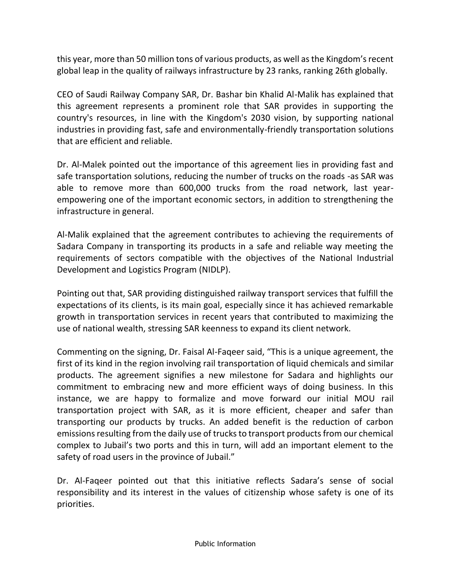this year, more than 50 million tons of various products, as well as the Kingdom's recent global leap in the quality of railways infrastructure by 23 ranks, ranking 26th globally.

CEO of Saudi Railway Company SAR, Dr. Bashar bin Khalid Al-Malik has explained that this agreement represents a prominent role that SAR provides in supporting the country's resources, in line with the Kingdom's 2030 vision, by supporting national industries in providing fast, safe and environmentally-friendly transportation solutions that are efficient and reliable.

Dr. Al-Malek pointed out the importance of this agreement lies in providing fast and safe transportation solutions, reducing the number of trucks on the roads -as SAR was able to remove more than 600,000 trucks from the road network, last yearempowering one of the important economic sectors, in addition to strengthening the infrastructure in general.

Al-Malik explained that the agreement contributes to achieving the requirements of Sadara Company in transporting its products in a safe and reliable way meeting the requirements of sectors compatible with the objectives of the National Industrial Development and Logistics Program (NIDLP).

Pointing out that, SAR providing distinguished railway transport services that fulfill the expectations of its clients, is its main goal, especially since it has achieved remarkable growth in transportation services in recent years that contributed to maximizing the use of national wealth, stressing SAR keenness to expand its client network.

Commenting on the signing, Dr. Faisal Al-Faqeer said, "This is a unique agreement, the first of its kind in the region involving rail transportation of liquid chemicals and similar products. The agreement signifies a new milestone for Sadara and highlights our commitment to embracing new and more efficient ways of doing business. In this instance, we are happy to formalize and move forward our initial MOU rail transportation project with SAR, as it is more efficient, cheaper and safer than transporting our products by trucks. An added benefit is the reduction of carbon emissions resulting from the daily use of trucks to transport products from our chemical complex to Jubail's two ports and this in turn, will add an important element to the safety of road users in the province of Jubail."

Dr. Al-Faqeer pointed out that this initiative reflects Sadara's sense of social responsibility and its interest in the values of citizenship whose safety is one of its priorities.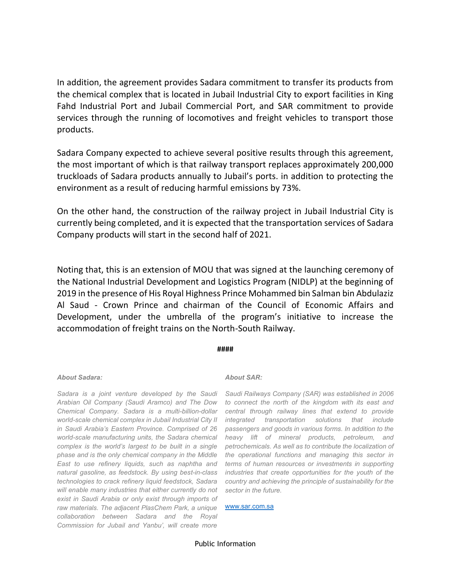In addition, the agreement provides Sadara commitment to transfer its products from the chemical complex that is located in Jubail Industrial City to export facilities in King Fahd Industrial Port and Jubail Commercial Port, and SAR commitment to provide services through the running of locomotives and freight vehicles to transport those products.

Sadara Company expected to achieve several positive results through this agreement, the most important of which is that railway transport replaces approximately 200,000 truckloads of Sadara products annually to Jubail's ports. in addition to protecting the environment as a result of reducing harmful emissions by 73%.

On the other hand, the construction of the railway project in Jubail Industrial City is currently being completed, and it is expected that the transportation services of Sadara Company products will start in the second half of 2021.

Noting that, this is an extension of MOU that was signed at the launching ceremony of the National Industrial Development and Logistics Program (NIDLP) at the beginning of 2019 in the presence of His Royal Highness Prince Mohammed bin Salman bin Abdulaziz Al Saud - Crown Prince and chairman of the Council of Economic Affairs and Development, under the umbrella of the program's initiative to increase the accommodation of freight trains on the North-South Railway.

#### **####**

#### *About Sadara:*

*Arabian Oil Company (Saudi Aramco) and The Dow Chemical Company. Sadara is a multi-billion-dollar in Saudi Arabia's Eastern Province. Comprised of 26 phase and is the only chemical company in the Middle East to use refinery liquids, such as naphtha and natural gasoline, as feedstock. By using best-in-class technologies to crack refinery liquid feedstock, Sadara will enable many industries that either currently do not exist in Saudi Arabia or only exist through imports of*  raw materials. The adjacent PlasChem Park, a unique vww.sar.com.sa *collaboration between Sadara and the Royal Commission for Jubail and Yanbu', will create more* 

### *About SAR:*

*Sadara is a joint venture developed by the Saudi Saudi Railways Company (SAR) was established in 2006*  world-scale chemical complex in Jubail Industrial City II antegrated transportation solutions that include *world-scale manufacturing units, the Sadara chemical heavy lift of mineral products, petroleum, and complex is the world's largest to be built in a single petrochemicals. As well as to contribute the localization of to connect the north of the kingdom with its east and central through railway lines that extend to provide passengers and goods in various forms. In addition to the the operational functions and managing this sector in terms of human resources or investments in supporting industries that create opportunities for the youth of the country and achieving the principle of sustainability for the sector in the future.*

Public Information